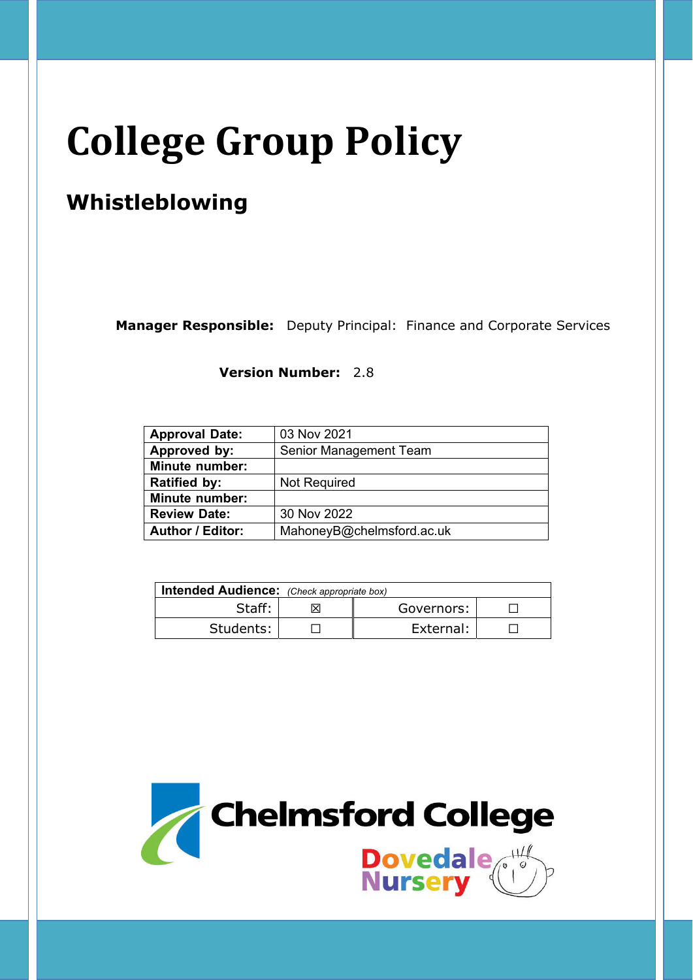# **College Group Policy**

# **Whistleblowing**

**Manager Responsible:** Deputy Principal: Finance and Corporate Services

**Version Number:** 2.8

| <b>Approval Date:</b>   | 03 Nov 2021               |
|-------------------------|---------------------------|
| Approved by:            | Senior Management Team    |
| <b>Minute number:</b>   |                           |
| <b>Ratified by:</b>     | <b>Not Required</b>       |
| <b>Minute number:</b>   |                           |
| <b>Review Date:</b>     | 30 Nov 2022               |
| <b>Author / Editor:</b> | MahoneyB@chelmsford.ac.uk |

| Intended Audience: (Check appropriate box) |  |            |  |  |
|--------------------------------------------|--|------------|--|--|
| Staff:                                     |  | Governors: |  |  |
| Students:                                  |  | External:  |  |  |

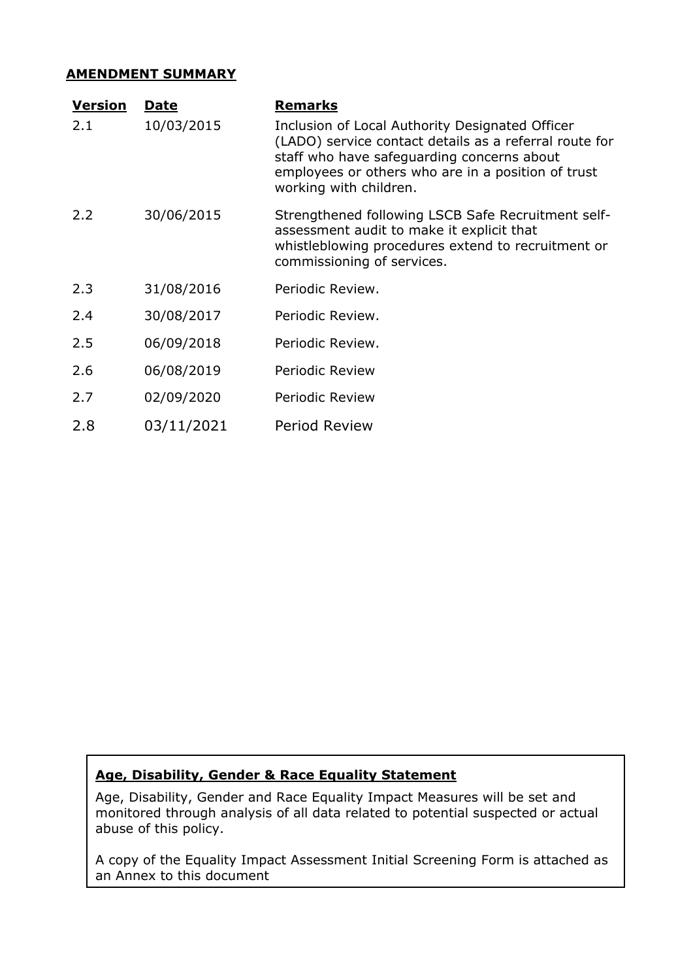#### **AMENDMENT SUMMARY**

| <u>Version</u> | <u>Date</u> | <u>Remarks</u>                                                                                                                                                                                                                          |
|----------------|-------------|-----------------------------------------------------------------------------------------------------------------------------------------------------------------------------------------------------------------------------------------|
| 2.1            | 10/03/2015  | Inclusion of Local Authority Designated Officer<br>(LADO) service contact details as a referral route for<br>staff who have safeguarding concerns about<br>employees or others who are in a position of trust<br>working with children. |
| 2.2            | 30/06/2015  | Strengthened following LSCB Safe Recruitment self-<br>assessment audit to make it explicit that<br>whistleblowing procedures extend to recruitment or<br>commissioning of services.                                                     |
| 2.3            | 31/08/2016  | Periodic Review.                                                                                                                                                                                                                        |
| 2.4            | 30/08/2017  | Periodic Review.                                                                                                                                                                                                                        |
| 2.5            | 06/09/2018  | Periodic Review.                                                                                                                                                                                                                        |
| 2.6            | 06/08/2019  | Periodic Review                                                                                                                                                                                                                         |
| 2.7            | 02/09/2020  | Periodic Review                                                                                                                                                                                                                         |
| 2.8            | 03/11/2021  | <b>Period Review</b>                                                                                                                                                                                                                    |

# **Age, Disability, Gender & Race Equality Statement**

Age, Disability, Gender and Race Equality Impact Measures will be set and monitored through analysis of all data related to potential suspected or actual abuse of this policy.

A copy of the Equality Impact Assessment Initial Screening Form is attached as an Annex to this document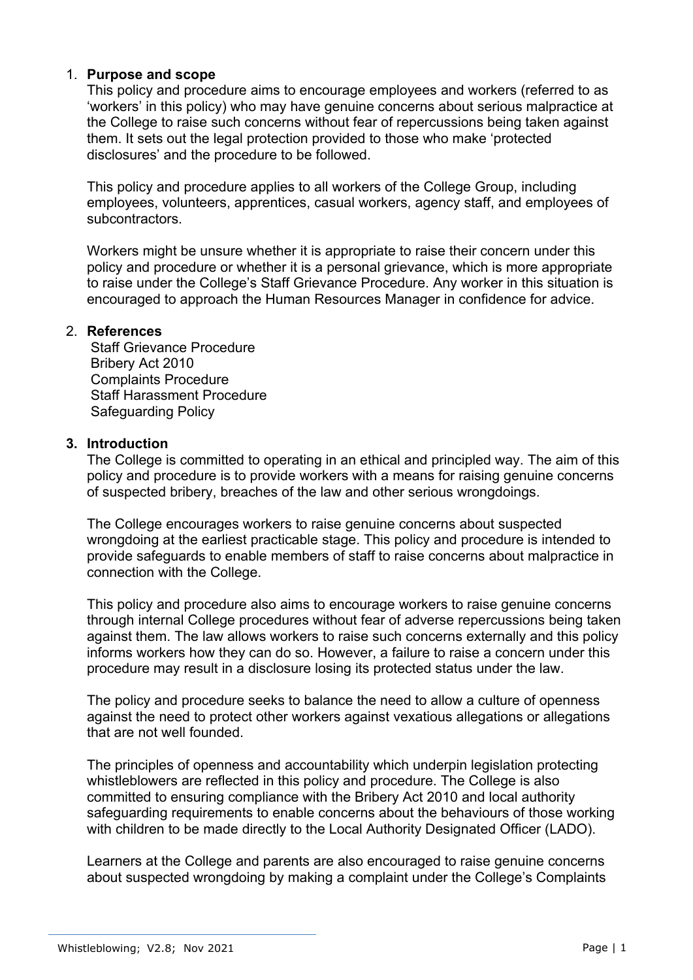### 1. **Purpose and scope**

This policy and procedure aims to encourage employees and workers (referred to as 'workers' in this policy) who may have genuine concerns about serious malpractice at the College to raise such concerns without fear of repercussions being taken against them. It sets out the legal protection provided to those who make 'protected disclosures' and the procedure to be followed.

This policy and procedure applies to all workers of the College Group, including employees, volunteers, apprentices, casual workers, agency staff, and employees of subcontractors.

Workers might be unsure whether it is appropriate to raise their concern under this policy and procedure or whether it is a personal grievance, which is more appropriate to raise under the College's Staff Grievance Procedure. Any worker in this situation is encouraged to approach the Human Resources Manager in confidence for advice.

#### 2. **References**

Staff Grievance Procedure Bribery Act 2010 Complaints Procedure Staff Harassment Procedure Safeguarding Policy

### **3. Introduction**

The College is committed to operating in an ethical and principled way. The aim of this policy and procedure is to provide workers with a means for raising genuine concerns of suspected bribery, breaches of the law and other serious wrongdoings.

The College encourages workers to raise genuine concerns about suspected wrongdoing at the earliest practicable stage. This policy and procedure is intended to provide safeguards to enable members of staff to raise concerns about malpractice in connection with the College.

This policy and procedure also aims to encourage workers to raise genuine concerns through internal College procedures without fear of adverse repercussions being taken against them. The law allows workers to raise such concerns externally and this policy informs workers how they can do so. However, a failure to raise a concern under this procedure may result in a disclosure losing its protected status under the law.

The policy and procedure seeks to balance the need to allow a culture of openness against the need to protect other workers against vexatious allegations or allegations that are not well founded.

The principles of openness and accountability which underpin legislation protecting whistleblowers are reflected in this policy and procedure. The College is also committed to ensuring compliance with the Bribery Act 2010 and local authority safeguarding requirements to enable concerns about the behaviours of those working with children to be made directly to the Local Authority Designated Officer (LADO).

Learners at the College and parents are also encouraged to raise genuine concerns about suspected wrongdoing by making a complaint under the College's Complaints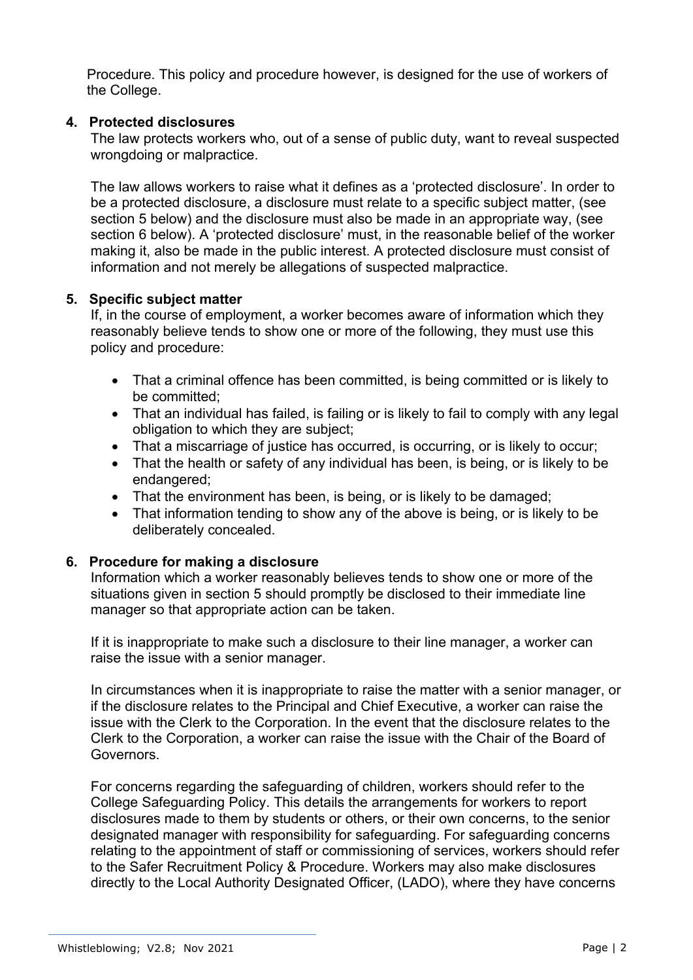Procedure. This policy and procedure however, is designed for the use of workers of the College.

# **4. Protected disclosures**

The law protects workers who, out of a sense of public duty, want to reveal suspected wrongdoing or malpractice.

The law allows workers to raise what it defines as a 'protected disclosure'. In order to be a protected disclosure, a disclosure must relate to a specific subject matter, (see section 5 below) and the disclosure must also be made in an appropriate way, (see section 6 below). A 'protected disclosure' must, in the reasonable belief of the worker making it, also be made in the public interest. A protected disclosure must consist of information and not merely be allegations of suspected malpractice.

### **5. Specific subject matter**

If, in the course of employment, a worker becomes aware of information which they reasonably believe tends to show one or more of the following, they must use this policy and procedure:

- That a criminal offence has been committed, is being committed or is likely to be committed;
- That an individual has failed, is failing or is likely to fail to comply with any legal obligation to which they are subject;
- That a miscarriage of justice has occurred, is occurring, or is likely to occur;
- That the health or safety of any individual has been, is being, or is likely to be endangered;
- That the environment has been, is being, or is likely to be damaged:
- That information tending to show any of the above is being, or is likely to be deliberately concealed.

# **6. Procedure for making a disclosure**

Information which a worker reasonably believes tends to show one or more of the situations given in section 5 should promptly be disclosed to their immediate line manager so that appropriate action can be taken.

If it is inappropriate to make such a disclosure to their line manager, a worker can raise the issue with a senior manager.

In circumstances when it is inappropriate to raise the matter with a senior manager, or if the disclosure relates to the Principal and Chief Executive, a worker can raise the issue with the Clerk to the Corporation. In the event that the disclosure relates to the Clerk to the Corporation, a worker can raise the issue with the Chair of the Board of Governors.

For concerns regarding the safeguarding of children, workers should refer to the College Safeguarding Policy. This details the arrangements for workers to report disclosures made to them by students or others, or their own concerns, to the senior designated manager with responsibility for safeguarding. For safeguarding concerns relating to the appointment of staff or commissioning of services, workers should refer to the Safer Recruitment Policy & Procedure. Workers may also make disclosures directly to the Local Authority Designated Officer, (LADO), where they have concerns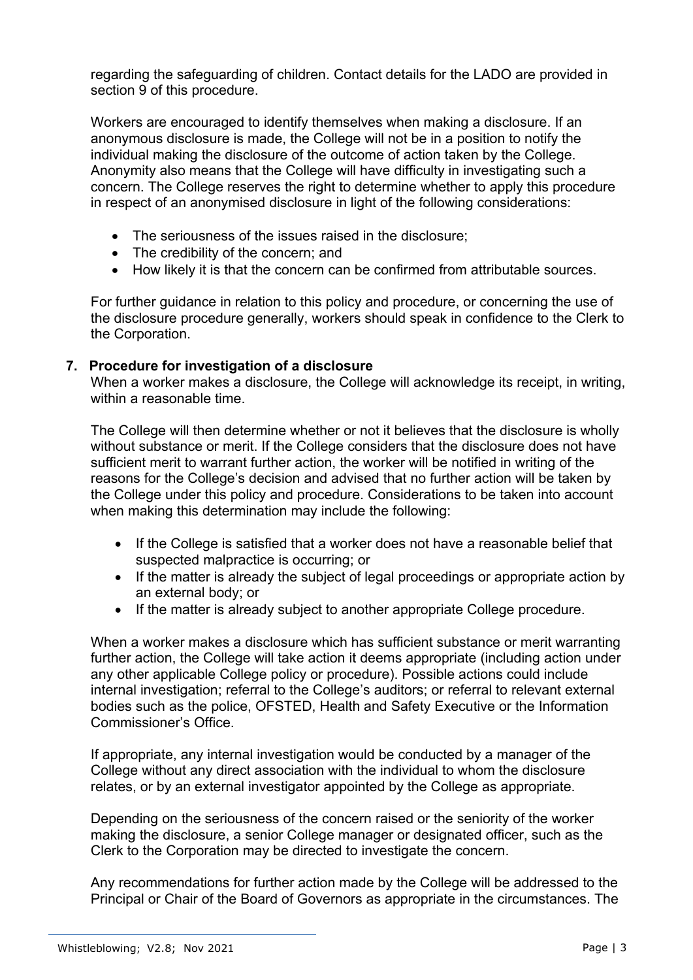regarding the safeguarding of children. Contact details for the LADO are provided in section 9 of this procedure.

Workers are encouraged to identify themselves when making a disclosure. If an anonymous disclosure is made, the College will not be in a position to notify the individual making the disclosure of the outcome of action taken by the College. Anonymity also means that the College will have difficulty in investigating such a concern. The College reserves the right to determine whether to apply this procedure in respect of an anonymised disclosure in light of the following considerations:

- The seriousness of the issues raised in the disclosure;
- The credibility of the concern; and
- How likely it is that the concern can be confirmed from attributable sources.

For further guidance in relation to this policy and procedure, or concerning the use of the disclosure procedure generally, workers should speak in confidence to the Clerk to the Corporation.

### **7. Procedure for investigation of a disclosure**

When a worker makes a disclosure, the College will acknowledge its receipt, in writing, within a reasonable time.

The College will then determine whether or not it believes that the disclosure is wholly without substance or merit. If the College considers that the disclosure does not have sufficient merit to warrant further action, the worker will be notified in writing of the reasons for the College's decision and advised that no further action will be taken by the College under this policy and procedure. Considerations to be taken into account when making this determination may include the following:

- If the College is satisfied that a worker does not have a reasonable belief that suspected malpractice is occurring; or
- If the matter is already the subject of legal proceedings or appropriate action by an external body; or
- If the matter is already subject to another appropriate College procedure.

When a worker makes a disclosure which has sufficient substance or merit warranting further action, the College will take action it deems appropriate (including action under any other applicable College policy or procedure). Possible actions could include internal investigation; referral to the College's auditors; or referral to relevant external bodies such as the police, OFSTED, Health and Safety Executive or the Information Commissioner's Office.

If appropriate, any internal investigation would be conducted by a manager of the College without any direct association with the individual to whom the disclosure relates, or by an external investigator appointed by the College as appropriate.

Depending on the seriousness of the concern raised or the seniority of the worker making the disclosure, a senior College manager or designated officer, such as the Clerk to the Corporation may be directed to investigate the concern.

Any recommendations for further action made by the College will be addressed to the Principal or Chair of the Board of Governors as appropriate in the circumstances. The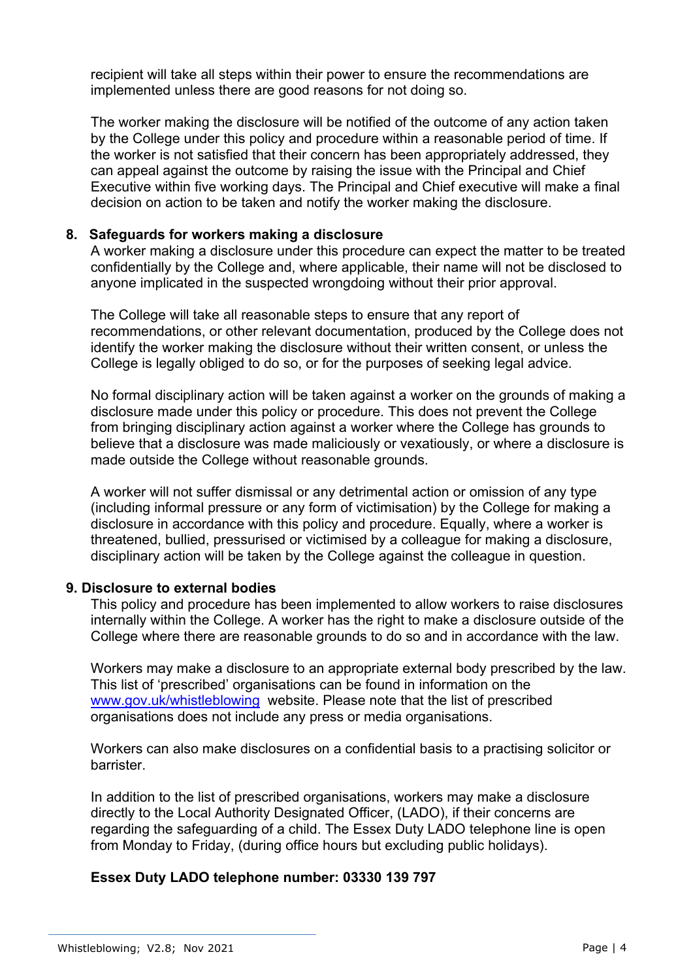recipient will take all steps within their power to ensure the recommendations are implemented unless there are good reasons for not doing so.

The worker making the disclosure will be notified of the outcome of any action taken by the College under this policy and procedure within a reasonable period of time. If the worker is not satisfied that their concern has been appropriately addressed, they can appeal against the outcome by raising the issue with the Principal and Chief Executive within five working days. The Principal and Chief executive will make a final decision on action to be taken and notify the worker making the disclosure.

### **8. Safeguards for workers making a disclosure**

A worker making a disclosure under this procedure can expect the matter to be treated confidentially by the College and, where applicable, their name will not be disclosed to anyone implicated in the suspected wrongdoing without their prior approval.

The College will take all reasonable steps to ensure that any report of recommendations, or other relevant documentation, produced by the College does not identify the worker making the disclosure without their written consent, or unless the College is legally obliged to do so, or for the purposes of seeking legal advice.

No formal disciplinary action will be taken against a worker on the grounds of making a disclosure made under this policy or procedure. This does not prevent the College from bringing disciplinary action against a worker where the College has grounds to believe that a disclosure was made maliciously or vexatiously, or where a disclosure is made outside the College without reasonable grounds.

A worker will not suffer dismissal or any detrimental action or omission of any type (including informal pressure or any form of victimisation) by the College for making a disclosure in accordance with this policy and procedure. Equally, where a worker is threatened, bullied, pressurised or victimised by a colleague for making a disclosure, disciplinary action will be taken by the College against the colleague in question.

### **9. Disclosure to external bodies**

This policy and procedure has been implemented to allow workers to raise disclosures internally within the College. A worker has the right to make a disclosure outside of the College where there are reasonable grounds to do so and in accordance with the law.

Workers may make a disclosure to an appropriate external body prescribed by the law. This list of 'prescribed' organisations can be found in information on the www.gov.uk/whistleblowing website. Please note that the list of prescribed organisations does not include any press or media organisations.

Workers can also make disclosures on a confidential basis to a practising solicitor or barrister.

In addition to the list of prescribed organisations, workers may make a disclosure directly to the Local Authority Designated Officer, (LADO), if their concerns are regarding the safeguarding of a child. The Essex Duty LADO telephone line is open from Monday to Friday, (during office hours but excluding public holidays).

### **Essex Duty LADO telephone number: 03330 139 797**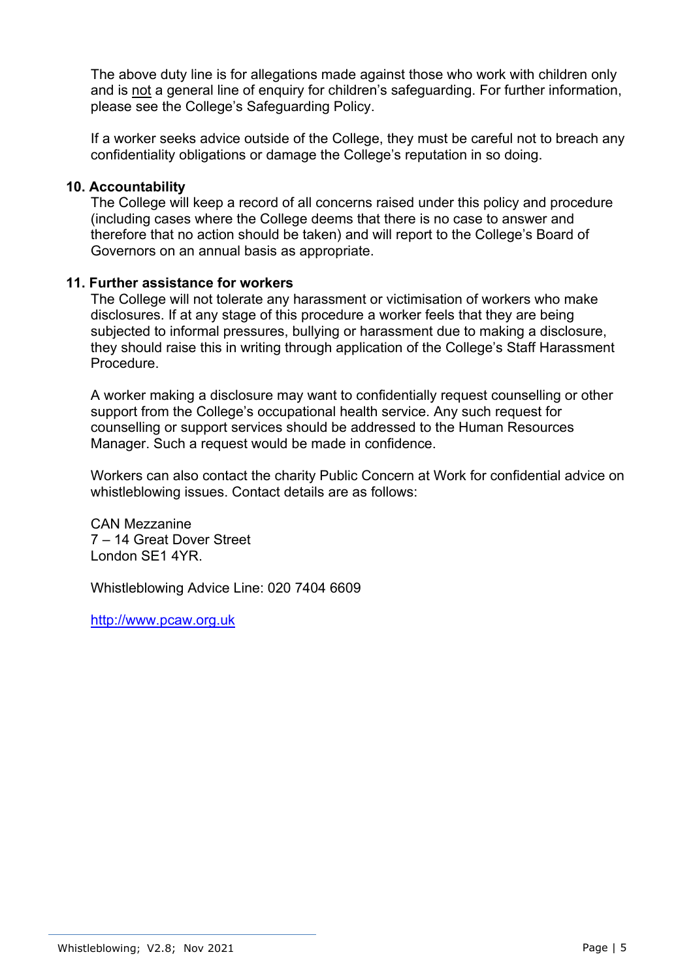The above duty line is for allegations made against those who work with children only and is not a general line of enquiry for children's safeguarding. For further information, please see the College's Safeguarding Policy.

If a worker seeks advice outside of the College, they must be careful not to breach any confidentiality obligations or damage the College's reputation in so doing.

#### **10. Accountability**

The College will keep a record of all concerns raised under this policy and procedure (including cases where the College deems that there is no case to answer and therefore that no action should be taken) and will report to the College's Board of Governors on an annual basis as appropriate.

#### **11. Further assistance for workers**

The College will not tolerate any harassment or victimisation of workers who make disclosures. If at any stage of this procedure a worker feels that they are being subjected to informal pressures, bullying or harassment due to making a disclosure, they should raise this in writing through application of the College's Staff Harassment Procedure.

A worker making a disclosure may want to confidentially request counselling or other support from the College's occupational health service. Any such request for counselling or support services should be addressed to the Human Resources Manager. Such a request would be made in confidence.

Workers can also contact the charity Public Concern at Work for confidential advice on whistleblowing issues. Contact details are as follows:

CAN Mezzanine 7 – 14 Great Dover Street London SE1 4YR.

Whistleblowing Advice Line: 020 7404 6609

http://www.pcaw.org.uk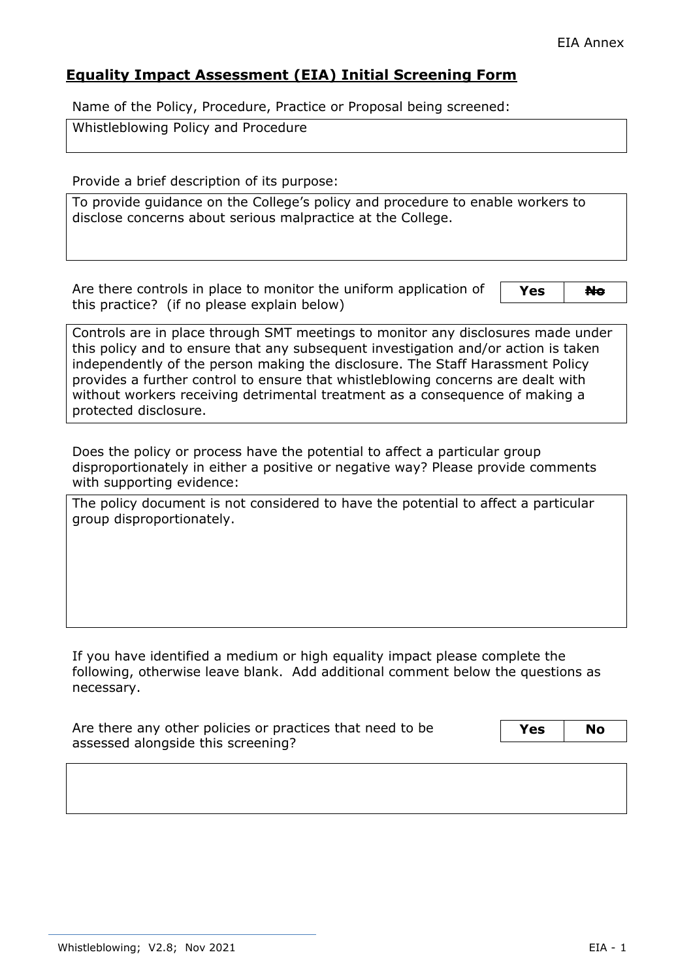# **Equality Impact Assessment (EIA) Initial Screening Form**

Name of the Policy, Procedure, Practice or Proposal being screened:

Whistleblowing Policy and Procedure

Provide a brief description of its purpose:

To provide guidance on the College's policy and procedure to enable workers to disclose concerns about serious malpractice at the College.

Are there controls in place to monitor the uniform application of this practice? (if no please explain below)

Yes **No** 

Controls are in place through SMT meetings to monitor any disclosures made under this policy and to ensure that any subsequent investigation and/or action is taken independently of the person making the disclosure. The Staff Harassment Policy provides a further control to ensure that whistleblowing concerns are dealt with without workers receiving detrimental treatment as a consequence of making a protected disclosure.

Does the policy or process have the potential to affect a particular group disproportionately in either a positive or negative way? Please provide comments with supporting evidence:

The policy document is not considered to have the potential to affect a particular group disproportionately.

If you have identified a medium or high equality impact please complete the following, otherwise leave blank. Add additional comment below the questions as necessary.

| Are there any other policies or practices that need to be | Yes | <b>No</b> |
|-----------------------------------------------------------|-----|-----------|
| assessed alongside this screening?                        |     |           |